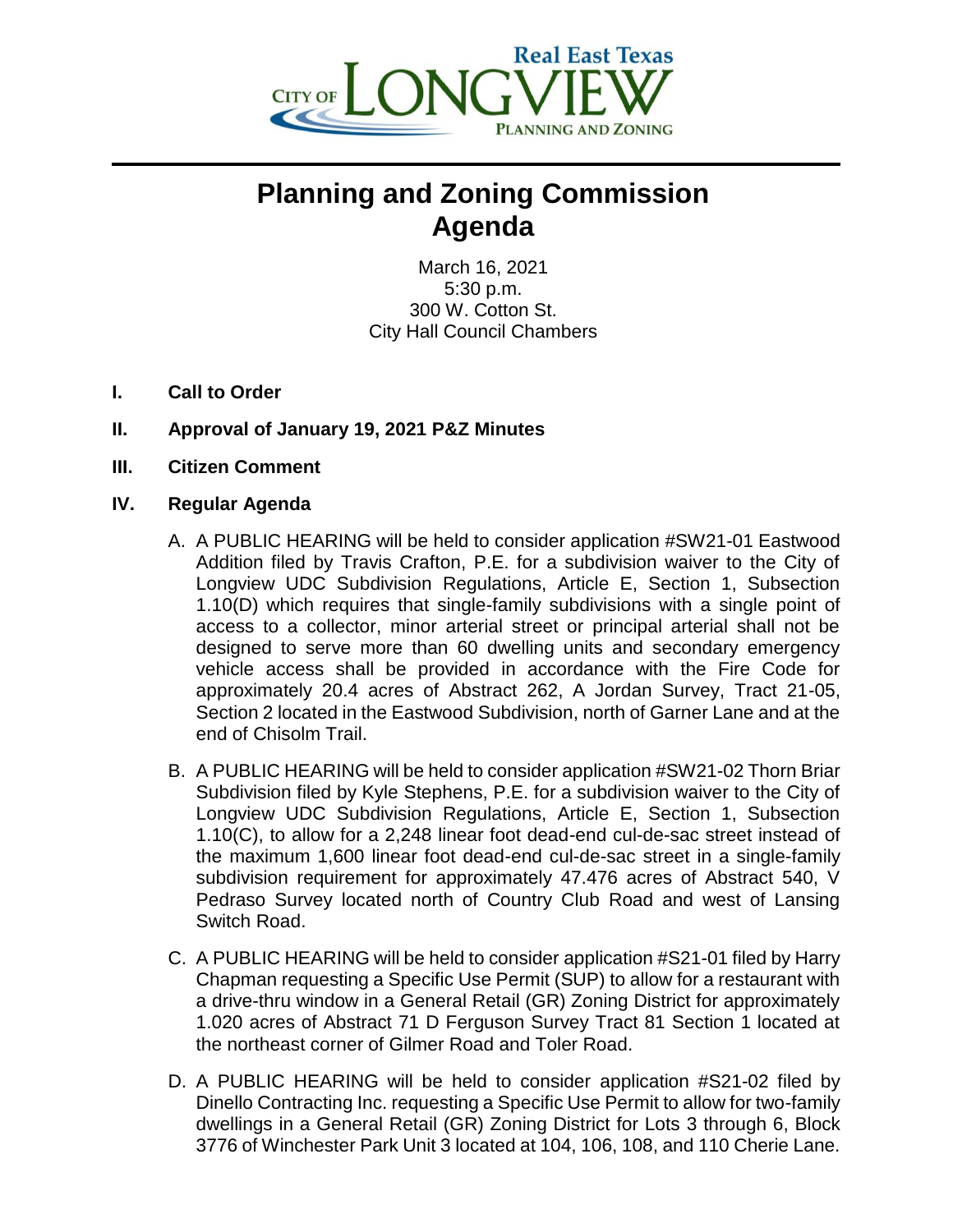

## **Planning and Zoning Commission Agenda**

March 16, 2021 5:30 p.m. 300 W. Cotton St. City Hall Council Chambers

- **I. Call to Order**
- **II. Approval of January 19, 2021 P&Z Minutes**
- **III. Citizen Comment**

## **IV. Regular Agenda**

- A. A PUBLIC HEARING will be held to consider application #SW21-01 Eastwood Addition filed by Travis Crafton, P.E. for a subdivision waiver to the City of Longview UDC Subdivision Regulations, Article E, Section 1, Subsection 1.10(D) which requires that single-family subdivisions with a single point of access to a collector, minor arterial street or principal arterial shall not be designed to serve more than 60 dwelling units and secondary emergency vehicle access shall be provided in accordance with the Fire Code for approximately 20.4 acres of Abstract 262, A Jordan Survey, Tract 21-05, Section 2 located in the Eastwood Subdivision, north of Garner Lane and at the end of Chisolm Trail.
- B. A PUBLIC HEARING will be held to consider application #SW21-02 Thorn Briar Subdivision filed by Kyle Stephens, P.E. for a subdivision waiver to the City of Longview UDC Subdivision Regulations, Article E, Section 1, Subsection 1.10(C), to allow for a 2,248 linear foot dead-end cul-de-sac street instead of the maximum 1,600 linear foot dead-end cul-de-sac street in a single-family subdivision requirement for approximately 47.476 acres of Abstract 540, V Pedraso Survey located north of Country Club Road and west of Lansing Switch Road.
- C. A PUBLIC HEARING will be held to consider application #S21-01 filed by Harry Chapman requesting a Specific Use Permit (SUP) to allow for a restaurant with a drive-thru window in a General Retail (GR) Zoning District for approximately 1.020 acres of Abstract 71 D Ferguson Survey Tract 81 Section 1 located at the northeast corner of Gilmer Road and Toler Road.
- D. A PUBLIC HEARING will be held to consider application #S21-02 filed by Dinello Contracting Inc. requesting a Specific Use Permit to allow for two-family dwellings in a General Retail (GR) Zoning District for Lots 3 through 6, Block 3776 of Winchester Park Unit 3 located at 104, 106, 108, and 110 Cherie Lane.